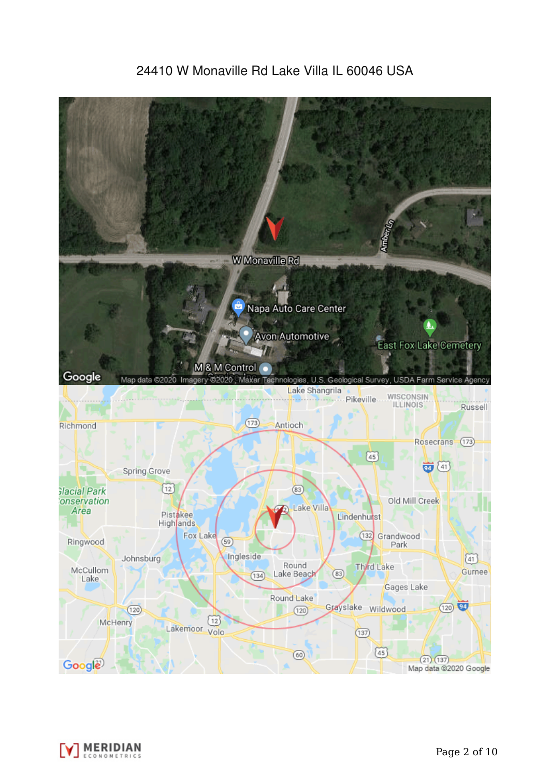# 24410 W Monaville Rd Lake Villa IL 60046 USA



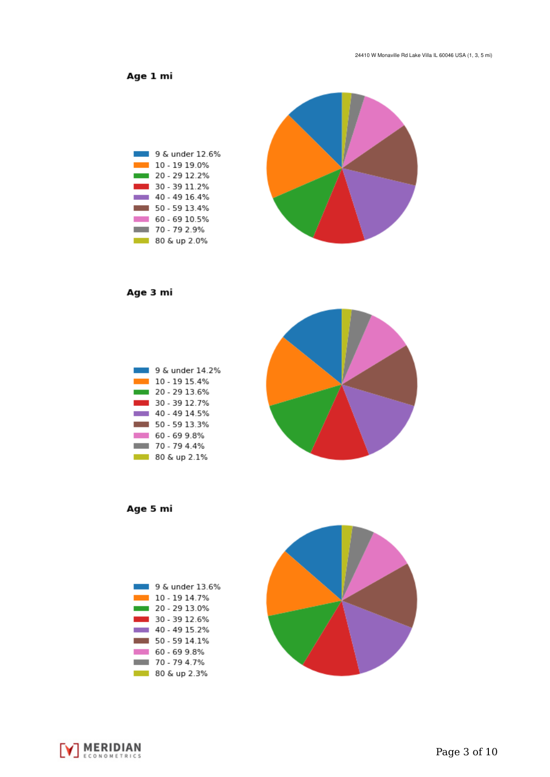Age 1 mi



Age 3 mi



Age 5 mi





**V MERIDIAN**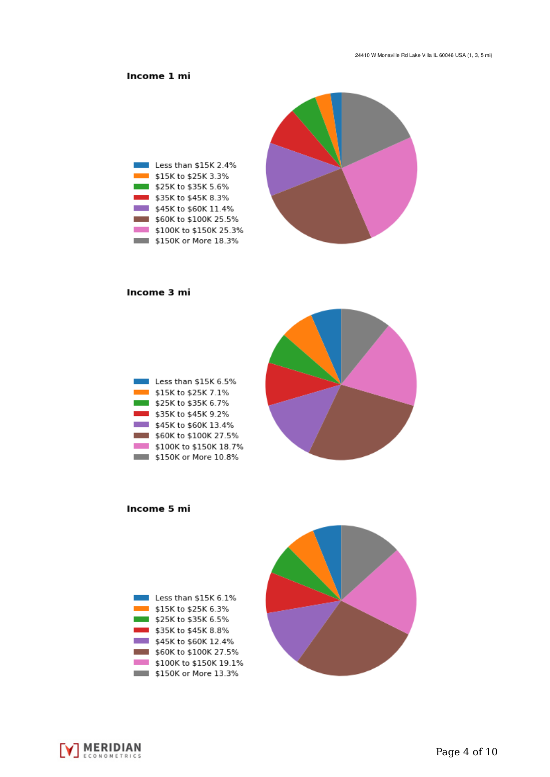## Income 1 mi



#### Income 3 mi

| Less than \$15K 6.5%   |
|------------------------|
| \$15K to \$25K 7.1%    |
| \$25K to \$35K 6.7%    |
| \$35K to \$45K 9.2%    |
| \$45K to \$60K 13.4%   |
| \$60K to \$100K 27.5%  |
| \$100K to \$150K 18.7% |
| \$150K or More 10.8%   |



Income 5 mi



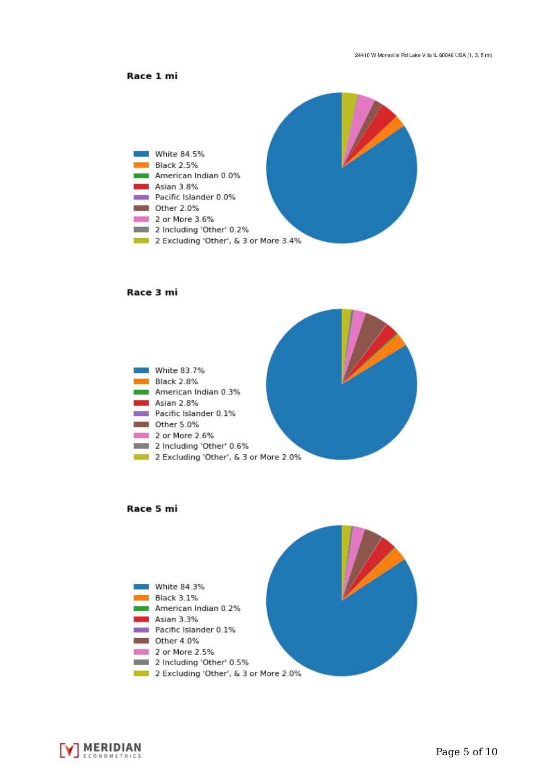



#### Race 3 mi







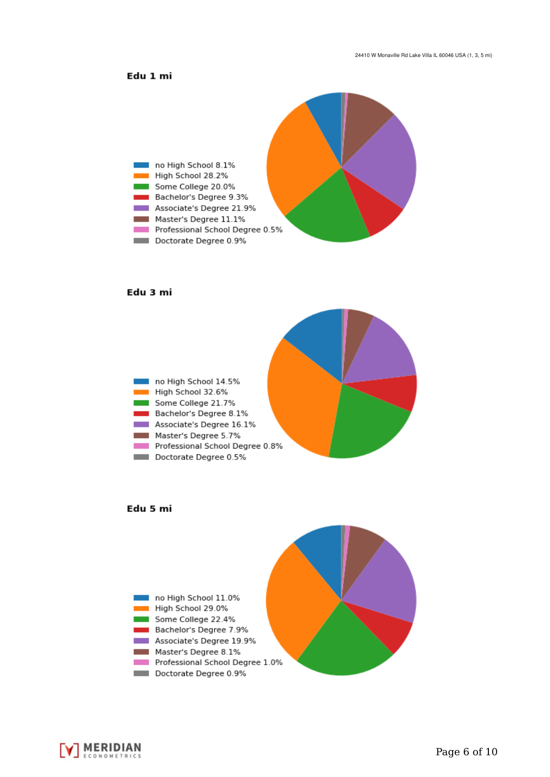### Edu 1 mi



#### Edu 3 mi







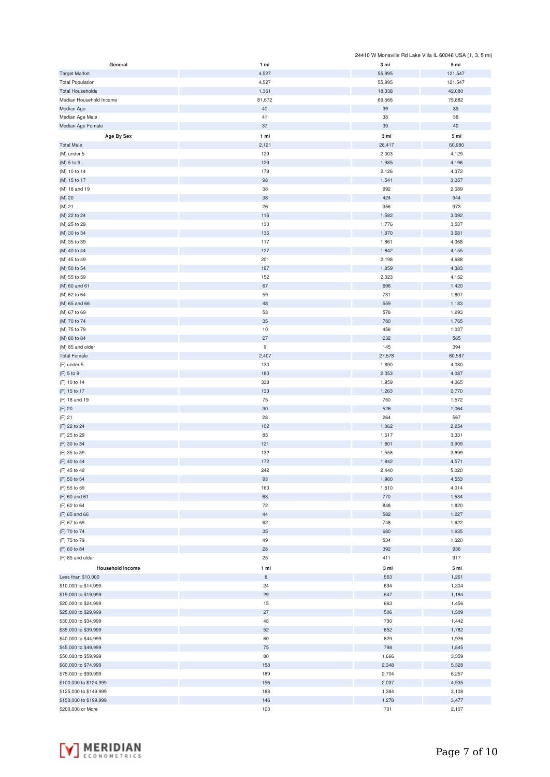|                         |                  |        | 24410 W Monaville Rd Lake Villa IL 60046 USA (1, 3, 5 mi) |
|-------------------------|------------------|--------|-----------------------------------------------------------|
| General                 | 1 mi             | 3 mi   | 5 mi                                                      |
| <b>Target Market</b>    | 4,527            | 55,995 | 121,547                                                   |
| <b>Total Population</b> | 4,527            | 55,995 | 121,547                                                   |
| <b>Total Households</b> | 1,361            | 18,338 | 42,080                                                    |
| Median Household Income | 81,672           | 69,566 | 75,882                                                    |
|                         |                  |        |                                                           |
| Median Age              | 40               | 39     | 39                                                        |
| Median Age Male         | 41               | 38     | 38                                                        |
| Median Age Female       | 37               | 39     | 40                                                        |
| Age By Sex              | 1 mi             | 3 mi   | 5 mi                                                      |
| <b>Total Male</b>       | 2,121            | 28,417 | 60,980                                                    |
| (M) under 5             | 129              | 2,003  | 4,129                                                     |
| (M) 5 to 9              | 129              |        |                                                           |
|                         |                  | 1,985  | 4,196                                                     |
| (M) 10 to 14            | 178              | 2,126  | 4,372                                                     |
| (M) 15 to 17            | 98               | 1,541  | 3,057                                                     |
| (M) 18 and 19           | 38               | 992    | 2,089                                                     |
| $(M)$ 20                | 38               | 424    | 944                                                       |
| (M) 21                  | 26               | 356    | 973                                                       |
| (M) 22 to 24            | 116              | 1,582  | 3,092                                                     |
| (M) 25 to 29            | 130              | 1,776  | 3,537                                                     |
|                         | 136              |        |                                                           |
| (M) 30 to 34            |                  | 1,870  | 3,681                                                     |
| (M) 35 to 39            | 117              | 1,861  | 4,068                                                     |
| (M) 40 to 44            | 127              | 1,642  | 4,155                                                     |
| (M) 45 to 49            | 201              | 2,198  | 4,688                                                     |
| (M) 50 to 54            | 197              | 1,859  | 4,383                                                     |
| (M) 55 to 59            | 152              | 2,023  | 4,152                                                     |
| (M) 60 and 61           | 67               | 696    | 1,420                                                     |
| (M) 62 to 64            | 59               | 731    | 1,807                                                     |
|                         |                  |        |                                                           |
| (M) 65 and 66           | 48               | 559    | 1,183                                                     |
| (M) 67 to 69            | 53               | 578    | 1,293                                                     |
| (M) 70 to 74            | 35               | 780    | 1,765                                                     |
| (M) 75 to 79            | $10$             | 458    | 1,037                                                     |
| (M) 80 to 84            | 27               | 232    | 565                                                       |
| (M) 85 and older        | $\boldsymbol{9}$ | 145    | 394                                                       |
| <b>Total Female</b>     | 2,407            | 27,578 | 60,567                                                    |
|                         | 133              |        | 4,080                                                     |
| (F) under 5             |                  | 1,890  |                                                           |
| (F) 5 to 9              | 180              | 2,053  | 4,087                                                     |
| (F) 10 to 14            | 338              | 1,959  | 4,065                                                     |
| (F) 15 to 17            | 133              | 1,263  | 2,770                                                     |
| (F) 18 and 19           | $75\,$           | 750    | 1,572                                                     |
| (F) 20                  | $30\,$           | 526    | 1,064                                                     |
| $(F)$ 21                | 28               | 264    | 567                                                       |
| (F) 22 to 24            | 102              | 1,062  | 2,254                                                     |
|                         | 83               |        |                                                           |
| (F) 25 to 29            |                  | 1,617  | 3,331                                                     |
| (F) 30 to 34            | 121              | 1,801  | 3,909                                                     |
| (F) 35 to 39            | 132              | 1,558  | 3,699                                                     |
| (F) 40 to 44            | 172              | 1,842  | 4,571                                                     |
| (F) 45 to 49            | 242              | 2,440  | 5,020                                                     |
| (F) 50 to 54            | $93\,$           | 1,980  | 4,553                                                     |
| (F) 55 to 59            | 163              | 1,610  | 4,014                                                     |
|                         | 68               |        |                                                           |
| (F) 60 and 61           |                  | 770    | 1,534                                                     |
| (F) 62 to 64            | 72               | 848    | 1,820                                                     |
| (F) 65 and 66           | 44               | 582    | 1,227                                                     |
| (F) 67 to 69            | 62               | 748    | 1,622                                                     |
| (F) 70 to 74            | 35               | 680    | 1,635                                                     |
| (F) 75 to 79            | 49               | 534    | 1,320                                                     |
| (F) 80 to 84            | 28               | 392    | 936                                                       |
| (F) 85 and older        | 25               | 411    | 917                                                       |
|                         |                  |        |                                                           |
| <b>Household Income</b> | 1 mi             | 3 mi   | 5 mi                                                      |
| Less than \$10,000      | $\,$ 8 $\,$      | 563    | 1,261                                                     |
| \$10,000 to \$14,999    | 24               | 634    | 1,304                                                     |
| \$15,000 to \$19,999    | 29               | 647    | 1,184                                                     |
| \$20,000 to \$24,999    | 15               | 663    | 1,456                                                     |
| \$25,000 to \$29,999    | 27               | 506    | 1,309                                                     |
| \$30,000 to \$34,999    | 48               | 730    | 1,442                                                     |
|                         |                  |        |                                                           |
| \$35,000 to \$39,999    | 52               | 852    | 1,782                                                     |
| \$40,000 to \$44,999    | 60               | 829    | 1,926                                                     |
| \$45,000 to \$49,999    | 75               | 798    | 1,845                                                     |
| \$50,000 to \$59,999    | 80               | 1,666  | 3,359                                                     |
| \$60,000 to \$74,999    | 158              | 2,348  | 5,328                                                     |
| \$75,000 to \$99,999    | 189              | 2,704  | 6,257                                                     |
| \$100,000 to \$124,999  | 156              | 2,037  | 4,935                                                     |
| \$125,000 to \$149,999  | 188              |        |                                                           |
|                         |                  | 1,384  | 3,108                                                     |
| \$150,000 to \$199,999  | 146              | 1,278  | 3,477                                                     |
| \$200,000 or More       | 103              | 701    | 2,107                                                     |

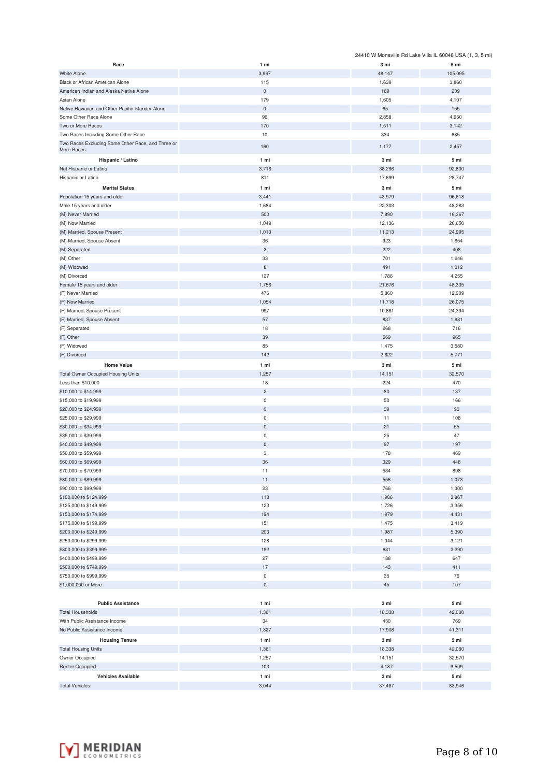|                                                           |                               |                | 24410 W Monaville Rd Lake Villa IL 60046 USA (1, 3, 5 mi) |
|-----------------------------------------------------------|-------------------------------|----------------|-----------------------------------------------------------|
| Race                                                      | 1 mi                          | 3 mi           | 5 mi                                                      |
| <b>White Alone</b>                                        | 3,967                         | 48,147         | 105,095                                                   |
| Black or African American Alone                           | 115                           | 1,639          | 3,860                                                     |
| American Indian and Alaska Native Alone                   | $\mathsf{O}\xspace$           | 169            | 239                                                       |
| Asian Alone                                               | 179                           | 1,605          | 4,107                                                     |
| Native Hawaiian and Other Pacific Islander Alone          | $\mathbf 0$                   | 65<br>2,858    | 155<br>4,950                                              |
| Some Other Race Alone<br>Two or More Races                | 96<br>170                     | 1,511          | 3,142                                                     |
| Two Races Including Some Other Race                       | 10                            | 334            | 685                                                       |
| Two Races Excluding Some Other Race, and Three or         |                               |                |                                                           |
| More Races                                                | 160                           | 1,177          | 2,457                                                     |
| Hispanic / Latino                                         | 1 mi                          | 3 mi           | 5 mi                                                      |
| Not Hispanic or Latino                                    | 3,716                         | 38,296         | 92,800                                                    |
| Hispanic or Latino                                        | 811                           | 17,699         | 28,747                                                    |
| <b>Marital Status</b>                                     | 1 mi                          | 3 mi           | 5 mi                                                      |
| Population 15 years and older                             | 3,441                         | 43,979         | 96,618                                                    |
| Male 15 years and older                                   | 1,684                         | 22,303         | 48,283                                                    |
| (M) Never Married                                         | 500                           | 7,890          | 16,367                                                    |
| (M) Now Married                                           | 1,049                         | 12,136         | 26,650                                                    |
| (M) Married, Spouse Present<br>(M) Married, Spouse Absent | 1,013<br>36                   | 11,213<br>923  | 24,995<br>1,654                                           |
| (M) Separated                                             | 3                             | 222            | 408                                                       |
| (M) Other                                                 | 33                            | 701            | 1,246                                                     |
| (M) Widowed                                               | $\bf8$                        | 491            | 1,012                                                     |
| (M) Divorced                                              | 127                           | 1,786          | 4,255                                                     |
| Female 15 years and older                                 | 1,756                         | 21,676         | 48,335                                                    |
| (F) Never Married                                         | 476                           | 5,860          | 12,909                                                    |
| (F) Now Married                                           | 1,054                         | 11,718         | 26,075                                                    |
| (F) Married, Spouse Present                               | 997                           | 10,881         | 24,394                                                    |
| (F) Married, Spouse Absent                                | 57                            | 837            | 1,681                                                     |
| (F) Separated                                             | 18                            | 268            | 716                                                       |
| (F) Other                                                 | 39                            | 569            | 965                                                       |
| (F) Widowed                                               | 85                            | 1,475          | 3,580                                                     |
| (F) Divorced                                              | 142                           | 2,622          | 5,771                                                     |
| <b>Home Value</b>                                         | 1 mi                          | 3 mi           | 5 mi                                                      |
| <b>Total Owner Occupied Housing Units</b>                 | 1,257                         | 14,151         | 32,570                                                    |
| Less than \$10,000                                        | 18                            | 224            | 470                                                       |
| \$10,000 to \$14,999<br>\$15,000 to \$19,999              | $\overline{c}$<br>$\mathsf 0$ | 80<br>50       | 137<br>166                                                |
| \$20,000 to \$24,999                                      | $\mathsf{O}\xspace$           | 39             | 90                                                        |
| \$25,000 to \$29,999                                      | $\mathsf{O}\xspace$           | 11             | 108                                                       |
| \$30,000 to \$34,999                                      | $\mathsf{O}\xspace$           | 21             | 55                                                        |
| \$35,000 to \$39,999                                      | $\pmb{0}$                     | 25             | 47                                                        |
| \$40,000 to \$49,999                                      | $\mathsf{O}\xspace$           | 97             | 197                                                       |
| \$50,000 to \$59,999                                      | 3                             | 178            | 469                                                       |
| \$60,000 to \$69,999                                      | 36                            | 329            | 448                                                       |
| \$70,000 to \$79,999                                      | 11                            | 534            | 898                                                       |
| \$80,000 to \$89,999                                      | 11                            | 556            | 1,073                                                     |
| \$90,000 to \$99,999                                      | 23                            | 766            | 1,300                                                     |
| \$100,000 to \$124,999                                    | 118                           | 1,986          | 3,867                                                     |
| \$125,000 to \$149,999                                    | 123                           | 1,726          | 3,356                                                     |
| \$150,000 to \$174,999<br>\$175,000 to \$199,999          | 194<br>151                    | 1,979<br>1,475 | 4,431<br>3,419                                            |
| \$200,000 to \$249,999                                    | 203                           | 1,987          | 5,390                                                     |
| \$250,000 to \$299,999                                    | 128                           | 1,044          | 3,121                                                     |
| \$300,000 to \$399,999                                    | 192                           | 631            | 2,290                                                     |
| \$400,000 to \$499,999                                    | 27                            | 188            | 647                                                       |
| \$500,000 to \$749,999                                    | 17                            | 143            | 411                                                       |
| \$750,000 to \$999,999                                    | $\mathsf 0$                   | 35             | 76                                                        |
| \$1,000,000 or More                                       | $\mathsf{O}\xspace$           | 45             | 107                                                       |
|                                                           |                               |                |                                                           |
| <b>Public Assistance</b>                                  | 1 mi                          | 3 mi           | 5 mi                                                      |
| <b>Total Households</b>                                   | 1,361                         | 18,338         | 42,080                                                    |
| With Public Assistance Income                             | 34                            | 430            | 769                                                       |
| No Public Assistance Income                               | 1,327                         | 17,908         | 41,311                                                    |
| <b>Housing Tenure</b>                                     | 1 mi                          | 3 mi           | 5 mi                                                      |
| <b>Total Housing Units</b>                                | 1,361                         | 18,338         | 42,080                                                    |
| Owner Occupied                                            | 1,257                         | 14,151         | 32,570                                                    |
| <b>Renter Occupied</b>                                    | 103                           | 4,187          | 9,509                                                     |
| <b>Vehicles Available</b>                                 | 1 mi                          | 3 mi           | 5 mi                                                      |
| <b>Total Vehicles</b>                                     | 3,044                         | 37,487         | 83,946                                                    |

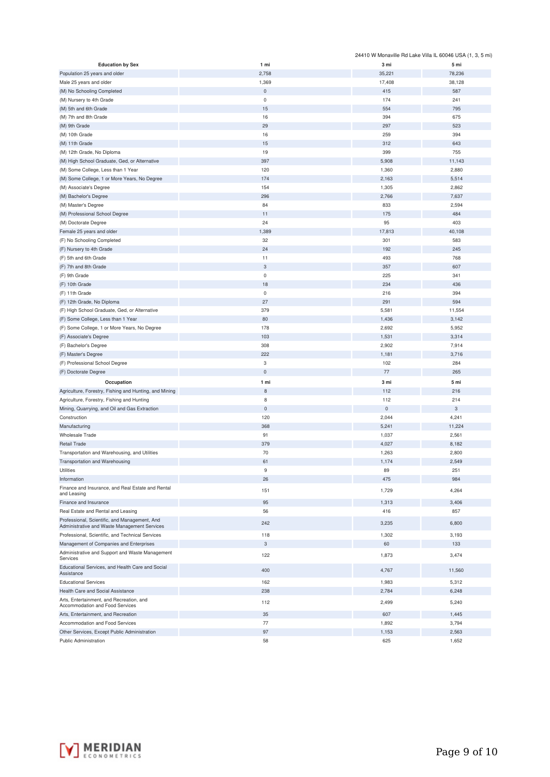|                                                                                               |             |           | 24410 W Monaville Rd Lake Villa IL 60046 USA (1, 3, 5 mi) |
|-----------------------------------------------------------------------------------------------|-------------|-----------|-----------------------------------------------------------|
| <b>Education by Sex</b>                                                                       | 1 mi        | 3 mi      | 5 mi                                                      |
| Population 25 years and older                                                                 | 2,758       | 35,221    | 78,236                                                    |
| Male 25 years and older                                                                       | 1,369       | 17,408    | 38,128                                                    |
| (M) No Schooling Completed                                                                    | $\pmb{0}$   | 415       | 587                                                       |
| (M) Nursery to 4th Grade                                                                      | $\mathbf 0$ | 174       | 241                                                       |
| (M) 5th and 6th Grade                                                                         | 15          | 554       | 795                                                       |
| (M) 7th and 8th Grade                                                                         | 16          | 394       | 675                                                       |
| (M) 9th Grade                                                                                 | 29          | 297       | 523                                                       |
| (M) 10th Grade                                                                                | 16          | 259       | 394                                                       |
| (M) 11th Grade                                                                                | 15          | 312       | 643                                                       |
| (M) 12th Grade, No Diploma                                                                    | 19          | 399       | 755                                                       |
|                                                                                               |             |           |                                                           |
| (M) High School Graduate, Ged, or Alternative                                                 | 397         | 5,908     | 11,143                                                    |
| (M) Some College, Less than 1 Year                                                            | 120         | 1,360     | 2,880                                                     |
| (M) Some College, 1 or More Years, No Degree                                                  | 174         | 2,163     | 5,514                                                     |
| (M) Associate's Degree                                                                        | 154         | 1,305     | 2,862                                                     |
| (M) Bachelor's Degree                                                                         | 296         | 2,766     | 7,637                                                     |
| (M) Master's Degree                                                                           | 84          | 833       | 2,594                                                     |
| (M) Professional School Degree                                                                | 11          | 175       | 484                                                       |
| (M) Doctorate Degree                                                                          | 24          | 95        | 403                                                       |
| Female 25 years and older                                                                     | 1,389       | 17,813    | 40,108                                                    |
| (F) No Schooling Completed                                                                    | 32          | 301       | 583                                                       |
| (F) Nursery to 4th Grade                                                                      | 24          | 192       | 245                                                       |
| (F) 5th and 6th Grade                                                                         | 11          | 493       | 768                                                       |
| (F) 7th and 8th Grade                                                                         | $\sqrt{3}$  | 357       | 607                                                       |
| (F) 9th Grade                                                                                 | $\mathsf 0$ | 225       | 341                                                       |
| (F) 10th Grade                                                                                | 18          | 234       | 436                                                       |
| (F) 11th Grade                                                                                | $\mathsf 0$ | 216       | 394                                                       |
| (F) 12th Grade, No Diploma                                                                    | 27          | 291       | 594                                                       |
|                                                                                               | 379         |           |                                                           |
| (F) High School Graduate, Ged, or Alternative                                                 |             | 5,581     | 11,554                                                    |
| (F) Some College, Less than 1 Year                                                            | 80          | 1,436     | 3,142                                                     |
| (F) Some College, 1 or More Years, No Degree                                                  | 178         | 2,692     | 5,952                                                     |
| (F) Associate's Degree                                                                        | 103         | 1,531     | 3,314                                                     |
| (F) Bachelor's Degree                                                                         | 308         | 2,902     | 7,914                                                     |
| (F) Master's Degree                                                                           | 222         | 1,181     | 3,716                                                     |
| (F) Professional School Degree                                                                | 3           | 102       | 284                                                       |
| (F) Doctorate Degree                                                                          | $\bf 0$     | $77 \,$   | 265                                                       |
| Occupation                                                                                    | 1 mi        | 3 mi      | 5 mi                                                      |
| Agriculture, Forestry, Fishing and Hunting, and Mining                                        | $\,$ 8 $\,$ | 112       | 216                                                       |
| Agriculture, Forestry, Fishing and Hunting                                                    | 8           | 112       | 214                                                       |
| Mining, Quarrying, and Oil and Gas Extraction                                                 | $\mathsf 0$ | $\pmb{0}$ | 3                                                         |
| Construction                                                                                  | 120         | 2,044     | 4,241                                                     |
| Manufacturing                                                                                 | 368         | 5,241     | 11,224                                                    |
| Wholesale Trade                                                                               | 91          | 1,037     | 2,561                                                     |
| <b>Retail Trade</b>                                                                           | 379         | 4,027     | 8,182                                                     |
|                                                                                               | 70          |           |                                                           |
| Transportation and Warehousing, and Utilities                                                 | 61          | 1,263     | 2,800                                                     |
| Transportation and Warehousing                                                                |             | 1,174     | 2,549                                                     |
| Utilities                                                                                     | 9           | 89        | 251                                                       |
| Information                                                                                   | 26          | 475       | 984                                                       |
| Finance and Insurance, and Real Estate and Rental<br>and Leasing                              | 151         | 1,729     | 4,264                                                     |
| Finance and Insurance                                                                         | 95          | 1,313     | 3,406                                                     |
| Real Estate and Rental and Leasing                                                            | 56          | 416       | 857                                                       |
| Professional, Scientific, and Management, And<br>Administrative and Waste Management Services | 242         | 3,235     | 6,800                                                     |
| Professional, Scientific, and Technical Services                                              | 118         | 1,302     | 3,193                                                     |
|                                                                                               | 3           | 60        |                                                           |
| Management of Companies and Enterprises                                                       |             |           | 133                                                       |
| Administrative and Support and Waste Management<br>Services                                   | 122         | 1,873     | 3,474                                                     |
| Educational Services, and Health Care and Social<br>Assistance                                | 400         | 4,767     | 11,560                                                    |
| <b>Educational Services</b>                                                                   | 162         | 1,983     | 5,312                                                     |
| Health Care and Social Assistance                                                             | 238         | 2,784     | 6,248                                                     |
| Arts, Entertainment, and Recreation, and                                                      |             |           |                                                           |
| Accommodation and Food Services                                                               | 112         | 2,499     | 5,240                                                     |
| Arts, Entertainment, and Recreation                                                           | 35          | 607       | 1,445                                                     |
| Accommodation and Food Services                                                               | 77          | 1,892     | 3,794                                                     |
| Other Services, Except Public Administration                                                  | 97          | 1,153     | 2,563                                                     |
| Public Administration                                                                         | 58          | 625       | 1,652                                                     |